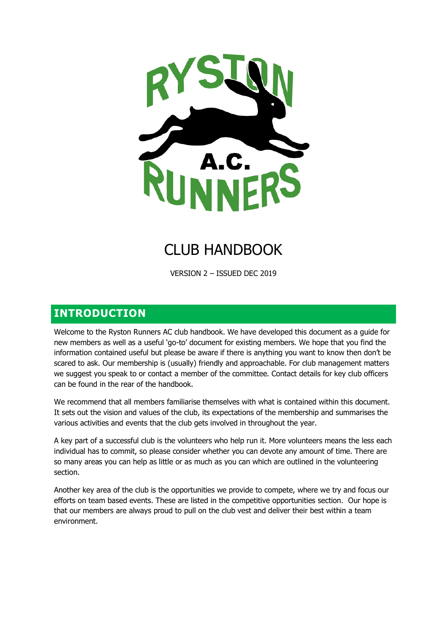

# CLUB HANDBOOK

VERSION 2 – ISSUED DEC 2019

## **INTRODUCTION**

Welcome to the Ryston Runners AC club handbook. We have developed this document as a guide for new members as well as a useful 'go-to' document for existing members. We hope that you find the information contained useful but please be aware if there is anything you want to know then don't be scared to ask. Our membership is (usually) friendly and approachable. For club management matters we suggest you speak to or contact a member of the committee. Contact details for key club officers can be found in the rear of the handbook.

We recommend that all members familiarise themselves with what is contained within this document. It sets out the vision and values of the club, its expectations of the membership and summarises the various activities and events that the club gets involved in throughout the year.

A key part of a successful club is the volunteers who help run it. More volunteers means the less each individual has to commit, so please consider whether you can devote any amount of time. There are so many areas you can help as little or as much as you can which are outlined in the volunteering section.

Another key area of the club is the opportunities we provide to compete, where we try and focus our efforts on team based events. These are listed in the competitive opportunities section. Our hope is that our members are always proud to pull on the club vest and deliver their best within a team environment.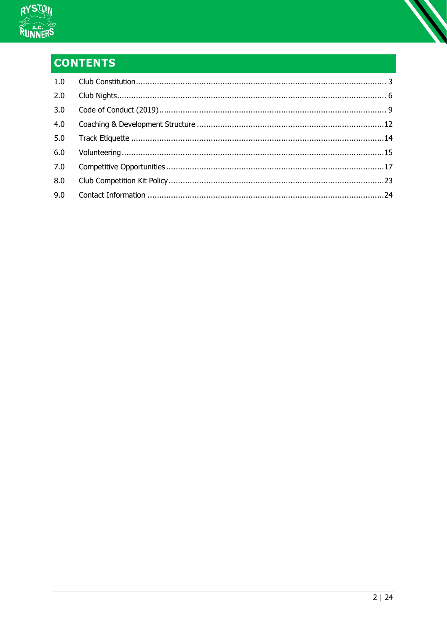

# **CONTENTS**

| 2.0 |  |
|-----|--|
| 3.0 |  |
| 4.0 |  |
| 5.0 |  |
| 6.0 |  |
| 7.0 |  |
| 8.0 |  |
| 9.0 |  |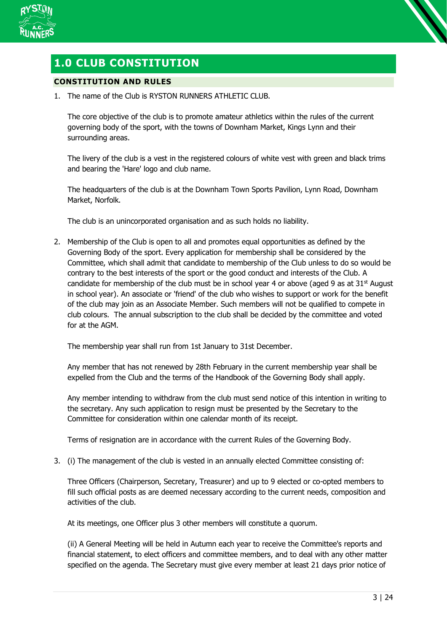

## <span id="page-2-0"></span>**1.0 CLUB CONSTITUTION**

## **CONSTITUTION AND RULES**

1. The name of the Club is RYSTON RUNNERS ATHLETIC CLUB.

The core objective of the club is to promote amateur athletics within the rules of the current governing body of the sport, with the towns of Downham Market, Kings Lynn and their surrounding areas.

The livery of the club is a vest in the registered colours of white vest with green and black trims and bearing the 'Hare' logo and club name.

The headquarters of the club is at the Downham Town Sports Pavilion, Lynn Road, Downham Market, Norfolk.

The club is an unincorporated organisation and as such holds no liability.

2. Membership of the Club is open to all and promotes equal opportunities as defined by the Governing Body of the sport. Every application for membership shall be considered by the Committee, which shall admit that candidate to membership of the Club unless to do so would be contrary to the best interests of the sport or the good conduct and interests of the Club. A candidate for membership of the club must be in school year 4 or above (aged 9 as at  $31<sup>st</sup>$  August in school year). An associate or 'friend' of the club who wishes to support or work for the benefit of the club may join as an Associate Member. Such members will not be qualified to compete in club colours. The annual subscription to the club shall be decided by the committee and voted for at the AGM.

The membership year shall run from 1st January to 31st December.

Any member that has not renewed by 28th February in the current membership year shall be expelled from the Club and the terms of the Handbook of the Governing Body shall apply.

Any member intending to withdraw from the club must send notice of this intention in writing to the secretary. Any such application to resign must be presented by the Secretary to the Committee for consideration within one calendar month of its receipt.

Terms of resignation are in accordance with the current Rules of the Governing Body.

3. (i) The management of the club is vested in an annually elected Committee consisting of:

Three Officers (Chairperson, Secretary, Treasurer) and up to 9 elected or co-opted members to fill such official posts as are deemed necessary according to the current needs, composition and activities of the club.

At its meetings, one Officer plus 3 other members will constitute a quorum.

(ii) A General Meeting will be held in Autumn each year to receive the Committee's reports and financial statement, to elect officers and committee members, and to deal with any other matter specified on the agenda. The Secretary must give every member at least 21 days prior notice of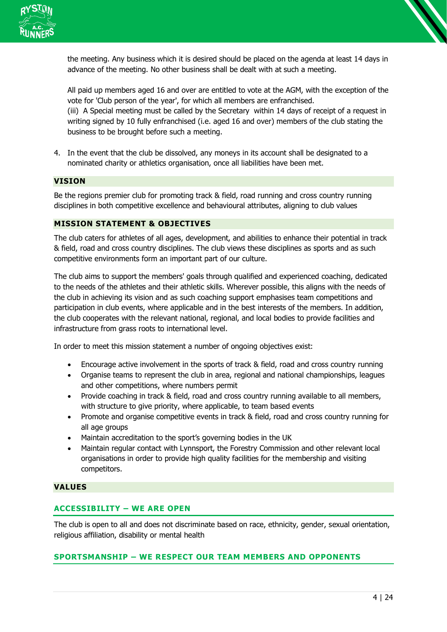

the meeting. Any business which it is desired should be placed on the agenda at least 14 days in advance of the meeting. No other business shall be dealt with at such a meeting.

All paid up members aged 16 and over are entitled to vote at the AGM, with the exception of the vote for 'Club person of the year', for which all members are enfranchised. (iii) A Special meeting must be called by the Secretary within 14 days of receipt of a request in

writing signed by 10 fully enfranchised (i.e. aged 16 and over) members of the club stating the business to be brought before such a meeting.

4. In the event that the club be dissolved, any moneys in its account shall be designated to a nominated charity or athletics organisation, once all liabilities have been met.

#### **VISION**

Be the regions premier club for promoting track & field, road running and cross country running disciplines in both competitive excellence and behavioural attributes, aligning to club values

#### **MISSION STATEMENT & OBJECTIVES**

The club caters for athletes of all ages, development, and abilities to enhance their potential in track & field, road and cross country disciplines. The club views these disciplines as sports and as such competitive environments form an important part of our culture.

The club aims to support the members' goals through qualified and experienced coaching, dedicated to the needs of the athletes and their athletic skills. Wherever possible, this aligns with the needs of the club in achieving its vision and as such coaching support emphasises team competitions and participation in club events, where applicable and in the best interests of the members. In addition, the club cooperates with the relevant national, regional, and local bodies to provide facilities and infrastructure from grass roots to international level.

In order to meet this mission statement a number of ongoing objectives exist:

- Encourage active involvement in the sports of track & field, road and cross country running
- Organise teams to represent the club in area, regional and national championships, leagues and other competitions, where numbers permit
- Provide coaching in track & field, road and cross country running available to all members, with structure to give priority, where applicable, to team based events
- Promote and organise competitive events in track & field, road and cross country running for all age groups
- Maintain accreditation to the sport's governing bodies in the UK
- Maintain regular contact with Lynnsport, the Forestry Commission and other relevant local organisations in order to provide high quality facilities for the membership and visiting competitors.

#### **VALUES**

## **ACCESSIBILITY – WE ARE OPEN**

The club is open to all and does not discriminate based on race, ethnicity, gender, sexual orientation, religious affiliation, disability or mental health

## **SPORTSMANSHIP – WE RESPECT OUR TEAM MEMBERS AND OPPONENTS**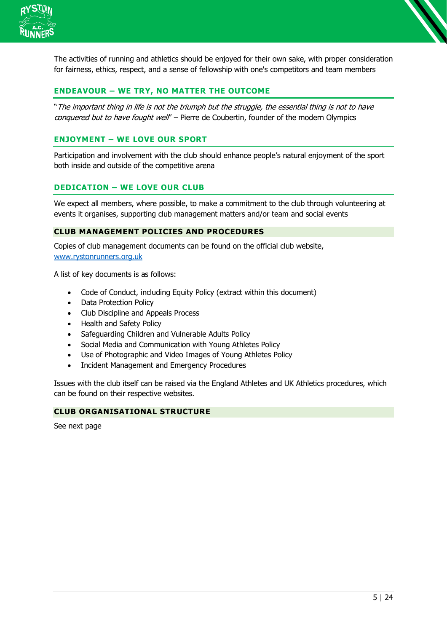

The activities of running and athletics should be enjoyed for their own sake, with proper consideration for fairness, ethics, respect, and a sense of fellowship with one's competitors and team members

## **ENDEAVOUR – WE TRY, NO MATTER THE OUTCOME**

"The important thing in life is not the triumph but the struggle, the essential thing is not to have conquered but to have fought well' - Pierre de Coubertin, founder of the modern Olympics

## **ENJOYMENT – WE LOVE OUR SPORT**

Participation and involvement with the club should enhance people's natural enjoyment of the sport both inside and outside of the competitive arena

## **DEDICATION – WE LOVE OUR CLUB**

We expect all members, where possible, to make a commitment to the club through volunteering at events it organises, supporting club management matters and/or team and social events

#### **CLUB MANAGEMENT POLICIES AND PROCEDURES**

Copies of club management documents can be found on the official club website, [www.rystonrunners.org.uk](http://www.rystonrunners.org.uk/)

A list of key documents is as follows:

- Code of Conduct, including Equity Policy (extract within this document)
- Data Protection Policy
- Club Discipline and Appeals Process
- Health and Safety Policy
- Safeguarding Children and Vulnerable Adults Policy
- Social Media and Communication with Young Athletes Policy
- Use of Photographic and Video Images of Young Athletes Policy
- Incident Management and Emergency Procedures

Issues with the club itself can be raised via the England Athletes and UK Athletics procedures, which can be found on their respective websites.

#### **CLUB ORGANISATIONAL STRUCTURE**

See next page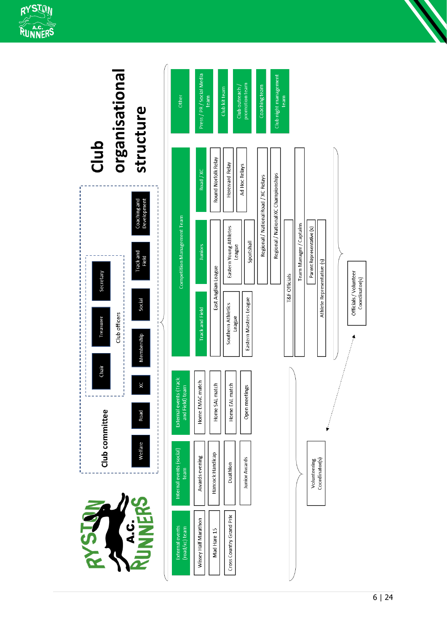

<span id="page-5-0"></span>

| 24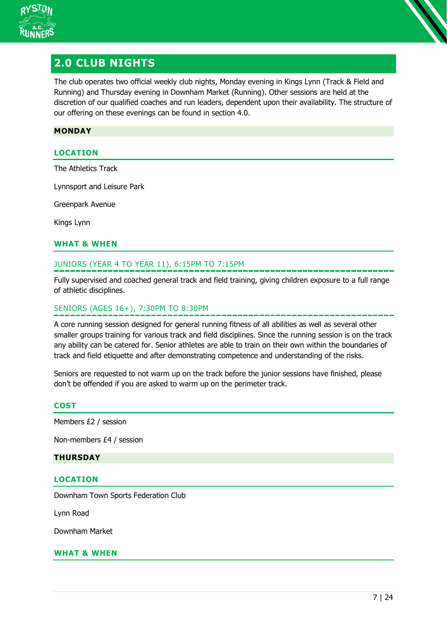

## **2.0 CLUB NIGHTS**

The club operates two official weekly club nights, Monday evening in Kings Lynn (Track & Field and Running) and Thursday evening in Downham Market (Running). Other sessions are held at the discretion of our qualified coaches and run leaders, dependent upon their availability. The structure of our offering on these evenings can be found in section [4.0.](#page-11-0)

#### **MONDAY**

## **LOCATION**

The Athletics Track

Lynnsport and Leisure Park

Greenpark Avenue

Kings Lynn

#### **WHAT & WHEN**

#### JUNIORS (YEAR 4 TO YEAR 11), 6:15PM TO 7:15PM

Fully supervised and coached general track and field training, giving children exposure to a full range of athletic disciplines.

#### SENIORS (AGES 16+), 7:30PM TO 8:30PM

A core running session designed for general running fitness of all abilities as well as several other smaller groups training for various track and field disciplines. Since the running session is on the track any ability can be catered for. Senior athletes are able to train on their own within the boundaries of track and field etiquette and after demonstrating competence and understanding of the risks.

Seniors are requested to not warm up on the track before the junior sessions have finished, please don't be offended if you are asked to warm up on the perimeter track.

#### **COST**

Members £2 / session

Non-members £4 / session

#### **THURSDAY**

#### **LOCATION**

Downham Town Sports Federation Club

Lynn Road

Downham Market

#### **WHAT & WHEN**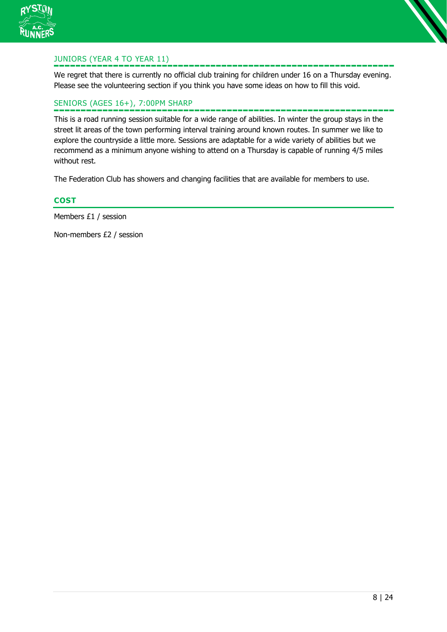



We regret that there is currently no official club training for children under 16 on a Thursday evening. Please see the volunteering section if you think you have some ideas on how to fill this void.

## SENIORS (AGES 16+), 7:00PM SHARP

This is a road running session suitable for a wide range of abilities. In winter the group stays in the street lit areas of the town performing interval training around known routes. In summer we like to explore the countryside a little more. Sessions are adaptable for a wide variety of abilities but we recommend as a minimum anyone wishing to attend on a Thursday is capable of running 4/5 miles without rest.

The Federation Club has showers and changing facilities that are available for members to use.

#### **COST**

Members £1 / session

Non-members £2 / session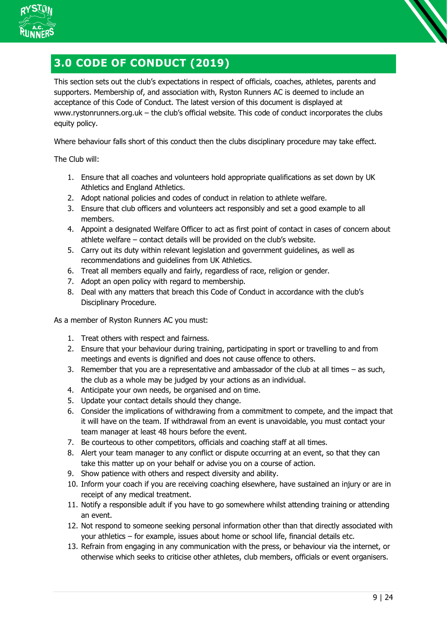

## <span id="page-8-0"></span>**3.0 CODE OF CONDUCT (2019)**

This section sets out the club's expectations in respect of officials, coaches, athletes, parents and supporters. Membership of, and association with, Ryston Runners AC is deemed to include an acceptance of this Code of Conduct. The latest version of this document is displayed at www.rystonrunners.org.uk – the club's official website. This code of conduct incorporates the clubs equity policy.

Where behaviour falls short of this conduct then the clubs disciplinary procedure may take effect.

The Club will:

- 1. Ensure that all coaches and volunteers hold appropriate qualifications as set down by UK Athletics and England Athletics.
- 2. Adopt national policies and codes of conduct in relation to athlete welfare.
- 3. Ensure that club officers and volunteers act responsibly and set a good example to all members.
- 4. Appoint a designated Welfare Officer to act as first point of contact in cases of concern about athlete welfare – contact details will be provided on the club's website.
- 5. Carry out its duty within relevant legislation and government guidelines, as well as recommendations and guidelines from UK Athletics.
- 6. Treat all members equally and fairly, regardless of race, religion or gender.
- 7. Adopt an open policy with regard to membership.
- 8. Deal with any matters that breach this Code of Conduct in accordance with the club's Disciplinary Procedure.

As a member of Ryston Runners AC you must:

- 1. Treat others with respect and fairness.
- 2. Ensure that your behaviour during training, participating in sport or travelling to and from meetings and events is dignified and does not cause offence to others.
- 3. Remember that you are a representative and ambassador of the club at all times as such, the club as a whole may be judged by your actions as an individual.
- 4. Anticipate your own needs, be organised and on time.
- 5. Update your contact details should they change.
- 6. Consider the implications of withdrawing from a commitment to compete, and the impact that it will have on the team. If withdrawal from an event is unavoidable, you must contact your team manager at least 48 hours before the event.
- 7. Be courteous to other competitors, officials and coaching staff at all times.
- 8. Alert your team manager to any conflict or dispute occurring at an event, so that they can take this matter up on your behalf or advise you on a course of action.
- 9. Show patience with others and respect diversity and ability.
- 10. Inform your coach if you are receiving coaching elsewhere, have sustained an injury or are in receipt of any medical treatment.
- 11. Notify a responsible adult if you have to go somewhere whilst attending training or attending an event.
- 12. Not respond to someone seeking personal information other than that directly associated with your athletics – for example, issues about home or school life, financial details etc.
- 13. Refrain from engaging in any communication with the press, or behaviour via the internet, or otherwise which seeks to criticise other athletes, club members, officials or event organisers.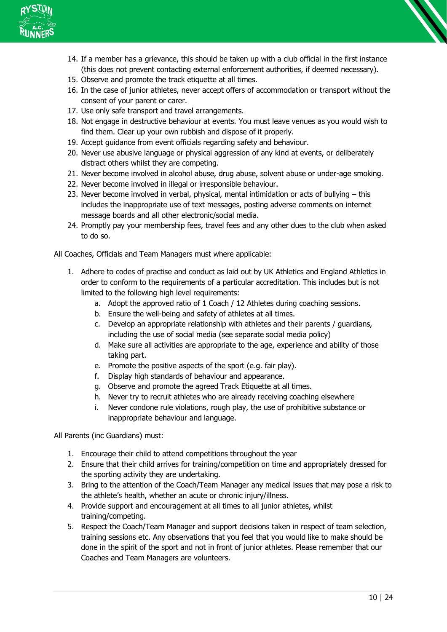

- 14. If a member has a grievance, this should be taken up with a club official in the first instance (this does not prevent contacting external enforcement authorities, if deemed necessary).
- 15. Observe and promote the track etiquette at all times.
- 16. In the case of junior athletes, never accept offers of accommodation or transport without the consent of your parent or carer.
- 17. Use only safe transport and travel arrangements.
- 18. Not engage in destructive behaviour at events. You must leave venues as you would wish to find them. Clear up your own rubbish and dispose of it properly.
- 19. Accept guidance from event officials regarding safety and behaviour.
- 20. Never use abusive language or physical aggression of any kind at events, or deliberately distract others whilst they are competing.
- 21. Never become involved in alcohol abuse, drug abuse, solvent abuse or under-age smoking.
- 22. Never become involved in illegal or irresponsible behaviour.
- 23. Never become involved in verbal, physical, mental intimidation or acts of bullying this includes the inappropriate use of text messages, posting adverse comments on internet message boards and all other electronic/social media.
- 24. Promptly pay your membership fees, travel fees and any other dues to the club when asked to do so.

All Coaches, Officials and Team Managers must where applicable:

- 1. Adhere to codes of practise and conduct as laid out by UK Athletics and England Athletics in order to conform to the requirements of a particular accreditation. This includes but is not limited to the following high level requirements:
	- a. Adopt the approved ratio of 1 Coach / 12 Athletes during coaching sessions.
	- b. Ensure the well-being and safety of athletes at all times.
	- c. Develop an appropriate relationship with athletes and their parents / guardians, including the use of social media (see separate social media policy)
	- d. Make sure all activities are appropriate to the age, experience and ability of those taking part.
	- e. Promote the positive aspects of the sport (e.g. fair play).
	- f. Display high standards of behaviour and appearance.
	- g. Observe and promote the agreed Track Etiquette at all times.
	- h. Never try to recruit athletes who are already receiving coaching elsewhere
	- i. Never condone rule violations, rough play, the use of prohibitive substance or inappropriate behaviour and language.

All Parents (inc Guardians) must:

- 1. Encourage their child to attend competitions throughout the year
- 2. Ensure that their child arrives for training/competition on time and appropriately dressed for the sporting activity they are undertaking.
- 3. Bring to the attention of the Coach/Team Manager any medical issues that may pose a risk to the athlete's health, whether an acute or chronic injury/illness.
- 4. Provide support and encouragement at all times to all junior athletes, whilst training/competing.
- 5. Respect the Coach/Team Manager and support decisions taken in respect of team selection, training sessions etc. Any observations that you feel that you would like to make should be done in the spirit of the sport and not in front of junior athletes. Please remember that our Coaches and Team Managers are volunteers.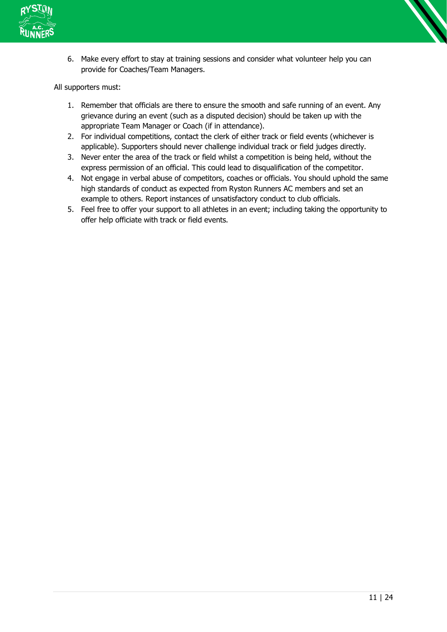

6. Make every effort to stay at training sessions and consider what volunteer help you can provide for Coaches/Team Managers.

All supporters must:

- 1. Remember that officials are there to ensure the smooth and safe running of an event. Any grievance during an event (such as a disputed decision) should be taken up with the appropriate Team Manager or Coach (if in attendance).
- 2. For individual competitions, contact the clerk of either track or field events (whichever is applicable). Supporters should never challenge individual track or field judges directly.
- 3. Never enter the area of the track or field whilst a competition is being held, without the express permission of an official. This could lead to disqualification of the competitor.
- 4. Not engage in verbal abuse of competitors, coaches or officials. You should uphold the same high standards of conduct as expected from Ryston Runners AC members and set an example to others. Report instances of unsatisfactory conduct to club officials.
- 5. Feel free to offer your support to all athletes in an event; including taking the opportunity to offer help officiate with track or field events.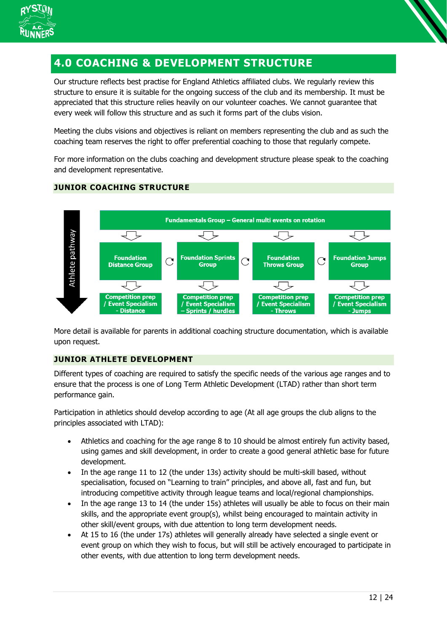

## <span id="page-11-0"></span>**4.0 COACHING & DEVELOPMENT STRUCTURE**

Our structure reflects best practise for England Athletics affiliated clubs. We regularly review this structure to ensure it is suitable for the ongoing success of the club and its membership. It must be appreciated that this structure relies heavily on our volunteer coaches. We cannot guarantee that every week will follow this structure and as such it forms part of the clubs vision.

Meeting the clubs visions and objectives is reliant on members representing the club and as such the coaching team reserves the right to offer preferential coaching to those that regularly compete.

For more information on the clubs coaching and development structure please speak to the coaching and development representative.

## **JUNIOR COACHING STRUCTURE**



More detail is available for parents in additional coaching structure documentation, which is available upon request.

## **JUNIOR ATHLETE DEVELOPMENT**

Different types of coaching are required to satisfy the specific needs of the various age ranges and to ensure that the process is one of Long Term Athletic Development (LTAD) rather than short term performance gain.

Participation in athletics should develop according to age (At all age groups the club aligns to the principles associated with LTAD):

- Athletics and coaching for the age range 8 to 10 should be almost entirely fun activity based, using games and skill development, in order to create a good general athletic base for future development.
- In the age range 11 to 12 (the under 13s) activity should be multi-skill based, without specialisation, focused on "Learning to train" principles, and above all, fast and fun, but introducing competitive activity through league teams and local/regional championships.
- In the age range 13 to 14 (the under 15s) athletes will usually be able to focus on their main skills, and the appropriate event group(s), whilst being encouraged to maintain activity in other skill/event groups, with due attention to long term development needs.
- At 15 to 16 (the under 17s) athletes will generally already have selected a single event or event group on which they wish to focus, but will still be actively encouraged to participate in other events, with due attention to long term development needs.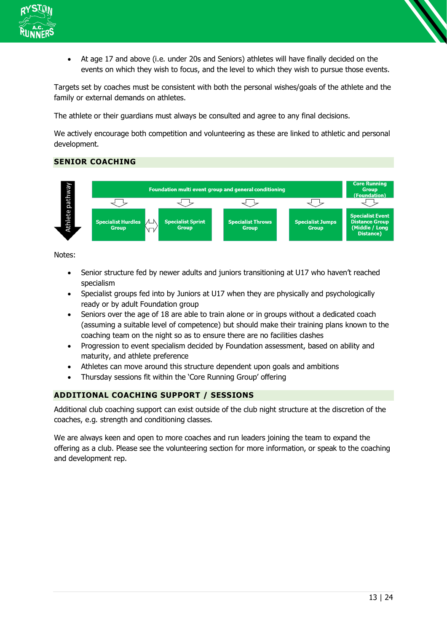

• At age 17 and above (i.e. under 20s and Seniors) athletes will have finally decided on the events on which they wish to focus, and the level to which they wish to pursue those events.

Targets set by coaches must be consistent with both the personal wishes/goals of the athlete and the family or external demands on athletes.

The athlete or their guardians must always be consulted and agree to any final decisions.

We actively encourage both competition and volunteering as these are linked to athletic and personal development.

## **SENIOR COACHING**



Notes:

- Senior structure fed by newer adults and juniors transitioning at U17 who haven't reached specialism
- Specialist groups fed into by Juniors at U17 when they are physically and psychologically ready or by adult Foundation group
- Seniors over the age of 18 are able to train alone or in groups without a dedicated coach (assuming a suitable level of competence) but should make their training plans known to the coaching team on the night so as to ensure there are no facilities clashes
- Progression to event specialism decided by Foundation assessment, based on ability and maturity, and athlete preference
- Athletes can move around this structure dependent upon goals and ambitions
- Thursday sessions fit within the 'Core Running Group' offering

## **ADDITIONAL COACHING SUPPORT / SESSIONS**

Additional club coaching support can exist outside of the club night structure at the discretion of the coaches, e.g. strength and conditioning classes.

We are always keen and open to more coaches and run leaders joining the team to expand the offering as a club. Please see the volunteering section for more information, or speak to the coaching and development rep.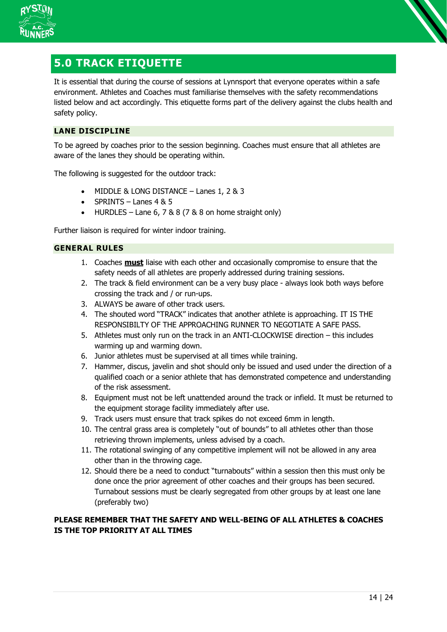

<span id="page-13-0"></span>

It is essential that during the course of sessions at Lynnsport that everyone operates within a safe environment. Athletes and Coaches must familiarise themselves with the safety recommendations listed below and act accordingly. This etiquette forms part of the delivery against the clubs health and safety policy.

## **LANE DISCIPLINE**

To be agreed by coaches prior to the session beginning. Coaches must ensure that all athletes are aware of the lanes they should be operating within.

The following is suggested for the outdoor track:

- MIDDLE & LONG DISTANCE Lanes 1, 2 & 3
- SPRINTS Lanes  $4 & 5$
- HURDLES Lane 6,  $7 & 8 & 8 & (7 & 8 & 8$  on home straight only)

Further liaison is required for winter indoor training.

#### **GENERAL RULES**

- 1. Coaches **must** liaise with each other and occasionally compromise to ensure that the safety needs of all athletes are properly addressed during training sessions.
- 2. The track & field environment can be a very busy place always look both ways before crossing the track and / or run-ups.
- 3. ALWAYS be aware of other track users.
- 4. The shouted word "TRACK" indicates that another athlete is approaching. IT IS THE RESPONSIBILTY OF THE APPROACHING RUNNER TO NEGOTIATE A SAFE PASS.
- 5. Athletes must only run on the track in an ANTI-CLOCKWISE direction this includes warming up and warming down.
- 6. Junior athletes must be supervised at all times while training.
- 7. Hammer, discus, javelin and shot should only be issued and used under the direction of a qualified coach or a senior athlete that has demonstrated competence and understanding of the risk assessment.
- 8. Equipment must not be left unattended around the track or infield. It must be returned to the equipment storage facility immediately after use.
- 9. Track users must ensure that track spikes do not exceed 6mm in length.
- 10. The central grass area is completely "out of bounds" to all athletes other than those retrieving thrown implements, unless advised by a coach.
- 11. The rotational swinging of any competitive implement will not be allowed in any area other than in the throwing cage.
- 12. Should there be a need to conduct "turnabouts" within a session then this must only be done once the prior agreement of other coaches and their groups has been secured. Turnabout sessions must be clearly segregated from other groups by at least one lane (preferably two)

## **PLEASE REMEMBER THAT THE SAFETY AND WELL-BEING OF ALL ATHLETES & COACHES IS THE TOP PRIORITY AT ALL TIMES**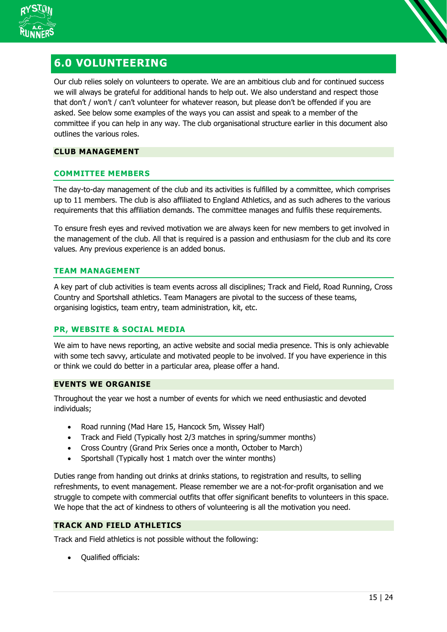

## <span id="page-14-0"></span>**6.0 VOLUNTEERING**

Our club relies solely on volunteers to operate. We are an ambitious club and for continued success we will always be grateful for additional hands to help out. We also understand and respect those that don't / won't / can't volunteer for whatever reason, but please don't be offended if you are asked. See below some examples of the ways you can assist and speak to a member of the committee if you can help in any way. The club organisational structure earlier in this document also outlines the various roles.

### **CLUB MANAGEMENT**

## **COMMITTEE MEMBERS**

The day-to-day management of the club and its activities is fulfilled by a committee, which comprises up to 11 members. The club is also affiliated to England Athletics, and as such adheres to the various requirements that this affiliation demands. The committee manages and fulfils these requirements.

To ensure fresh eyes and revived motivation we are always keen for new members to get involved in the management of the club. All that is required is a passion and enthusiasm for the club and its core values. Any previous experience is an added bonus.

## **TEAM MANAGEMENT**

A key part of club activities is team events across all disciplines; Track and Field, Road Running, Cross Country and Sportshall athletics. Team Managers are pivotal to the success of these teams, organising logistics, team entry, team administration, kit, etc.

## **PR, WEBSITE & SOCIAL MEDIA**

We aim to have news reporting, an active website and social media presence. This is only achievable with some tech savvy, articulate and motivated people to be involved. If you have experience in this or think we could do better in a particular area, please offer a hand.

#### **EVENTS WE ORGANISE**

Throughout the year we host a number of events for which we need enthusiastic and devoted individuals;

- Road running (Mad Hare 15, Hancock 5m, Wissey Half)
- Track and Field (Typically host 2/3 matches in spring/summer months)
- Cross Country (Grand Prix Series once a month, October to March)
- Sportshall (Typically host 1 match over the winter months)

Duties range from handing out drinks at drinks stations, to registration and results, to selling refreshments, to event management. Please remember we are a not-for-profit organisation and we struggle to compete with commercial outfits that offer significant benefits to volunteers in this space. We hope that the act of kindness to others of volunteering is all the motivation you need.

## **TRACK AND FIELD ATHLETICS**

Track and Field athletics is not possible without the following:

• Qualified officials: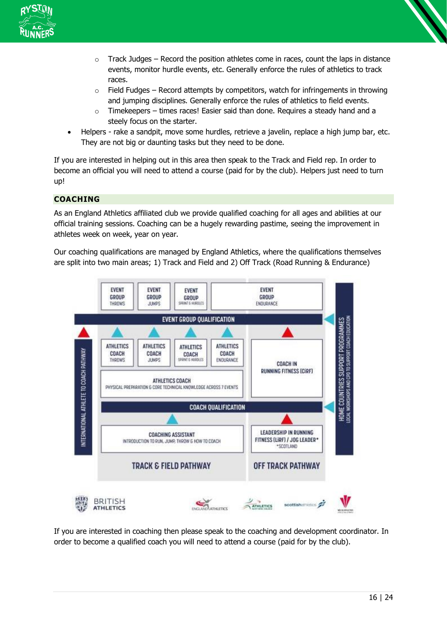



- $\circ$  Track Judges Record the position athletes come in races, count the laps in distance events, monitor hurdle events, etc. Generally enforce the rules of athletics to track races.
- $\circ$  Field Fudges Record attempts by competitors, watch for infringements in throwing and jumping disciplines. Generally enforce the rules of athletics to field events.
- o Timekeepers times races! Easier said than done. Requires a steady hand and a steely focus on the starter.
- Helpers rake a sandpit, move some hurdles, retrieve a javelin, replace a high jump bar, etc. They are not big or daunting tasks but they need to be done.

If you are interested in helping out in this area then speak to the Track and Field rep. In order to become an official you will need to attend a course (paid for by the club). Helpers just need to turn up!

## **COACHING**

As an England Athletics affiliated club we provide qualified coaching for all ages and abilities at our official training sessions. Coaching can be a hugely rewarding pastime, seeing the improvement in athletes week on week, year on year.

Our coaching qualifications are managed by England Athletics, where the qualifications themselves are split into two main areas; 1) Track and Field and 2) Off Track (Road Running & Endurance)



If you are interested in coaching then please speak to the coaching and development coordinator. In order to become a qualified coach you will need to attend a course (paid for by the club).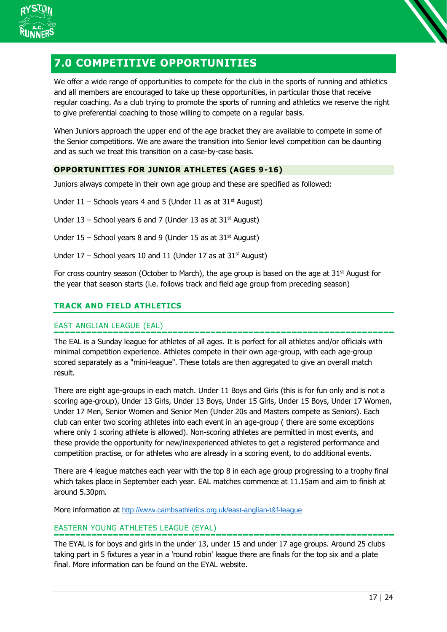

<span id="page-16-0"></span>

We offer a wide range of opportunities to compete for the club in the sports of running and athletics and all members are encouraged to take up these opportunities, in particular those that receive regular coaching. As a club trying to promote the sports of running and athletics we reserve the right to give preferential coaching to those willing to compete on a regular basis.

When Juniors approach the upper end of the age bracket they are available to compete in some of the Senior competitions. We are aware the transition into Senior level competition can be daunting and as such we treat this transition on a case-by-case basis.

## **OPPORTUNITIES FOR JUNIOR ATHLETES (AGES 9-16)**

Juniors always compete in their own age group and these are specified as followed:

Under  $11$  – Schools years 4 and 5 (Under 11 as at  $31^{st}$  August)

Under  $13$  – School years 6 and 7 (Under 13 as at  $31<sup>st</sup>$  August)

Under  $15$  – School years 8 and 9 (Under 15 as at  $31^{st}$  August)

Under  $17$  – School years 10 and 11 (Under 17 as at  $31<sup>st</sup>$  August)

For cross country season (October to March), the age group is based on the age at  $31<sup>st</sup>$  August for the year that season starts (i.e. follows track and field age group from preceding season)

## **TRACK AND FIELD ATHLETICS**

## EAST ANGLIAN LEAGUE (EAL)

The EAL is a Sunday league for athletes of all ages. It is perfect for all athletes and/or officials with minimal competition experience. Athletes compete in their own age-group, with each age-group scored separately as a "mini-league". These totals are then aggregated to give an overall match result.

There are eight age-groups in each match. Under 11 Boys and Girls (this is for fun only and is not a scoring age-group), Under 13 Girls, Under 13 Boys, Under 15 Girls, Under 15 Boys, Under 17 Women, Under 17 Men, Senior Women and Senior Men (Under 20s and Masters compete as Seniors). Each club can enter two scoring athletes into each event in an age-group ( there are some exceptions where only 1 scoring athlete is allowed). Non-scoring athletes are permitted in most events, and these provide the opportunity for new/inexperienced athletes to get a registered performance and competition practise, or for athletes who are already in a scoring event, to do additional events.

There are 4 league matches each year with the top 8 in each age group progressing to a trophy final which takes place in September each year. EAL matches commence at 11.15am and aim to finish at around 5.30pm.

More information at <http://www.cambsathletics.org.uk/east-anglian-t&f-league>

## EASTERN YOUNG ATHLETES LEAGUE (EYAL)

The EYAL is for boys and girls in the under 13, under 15 and under 17 age groups. Around 25 clubs taking part in 5 fixtures a year in a 'round robin' league there are finals for the top six and a plate final. More information can be found on the EYAL website.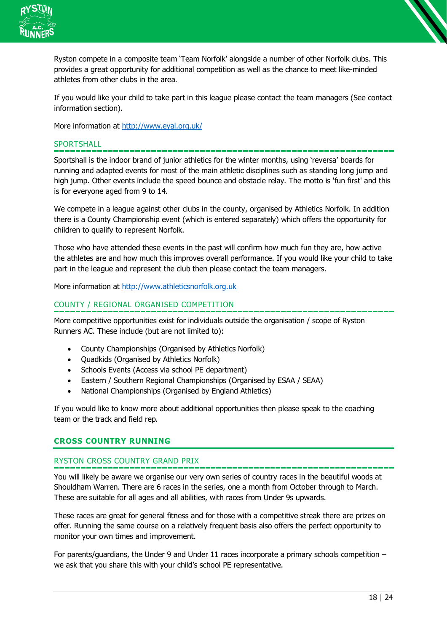



If you would like your child to take part in this league please contact the team managers (See contact information section).

More information at<http://www.eyal.org.uk/>

#### **SPORTSHALL**

Sportshall is the indoor brand of junior athletics for the winter months, using 'reversa' boards for running and adapted events for most of the main athletic disciplines such as standing long jump and high jump. Other events include the speed bounce and obstacle relay. The motto is 'fun first' and this is for everyone aged from 9 to 14.

We compete in a league against other clubs in the county, organised by Athletics Norfolk. In addition there is a County Championship event (which is entered separately) which offers the opportunity for children to qualify to represent Norfolk.

Those who have attended these events in the past will confirm how much fun they are, how active the athletes are and how much this improves overall performance. If you would like your child to take part in the league and represent the club then please contact the team managers.

More information at [http://www.athleticsnorfolk.org.uk](http://www.athleticsnorfolk.org.uk/)

#### COUNTY / REGIONAL ORGANISED COMPETITION

More competitive opportunities exist for individuals outside the organisation / scope of Ryston Runners AC. These include (but are not limited to):

- County Championships (Organised by Athletics Norfolk)
- Quadkids (Organised by Athletics Norfolk)
- Schools Events (Access via school PE department)
- Eastern / Southern Regional Championships (Organised by ESAA / SEAA)
- National Championships (Organised by England Athletics)

If you would like to know more about additional opportunities then please speak to the coaching team or the track and field rep.

#### **CROSS COUNTRY RUNNING**

#### RYSTON CROSS COUNTRY GRAND PRIX

You will likely be aware we organise our very own series of country races in the beautiful woods at Shouldham Warren. There are 6 races in the series, one a month from October through to March. These are suitable for all ages and all abilities, with races from Under 9s upwards.

These races are great for general fitness and for those with a competitive streak there are prizes on offer. Running the same course on a relatively frequent basis also offers the perfect opportunity to monitor your own times and improvement.

For parents/guardians, the Under 9 and Under 11 races incorporate a primary schools competition – we ask that you share this with your child's school PE representative.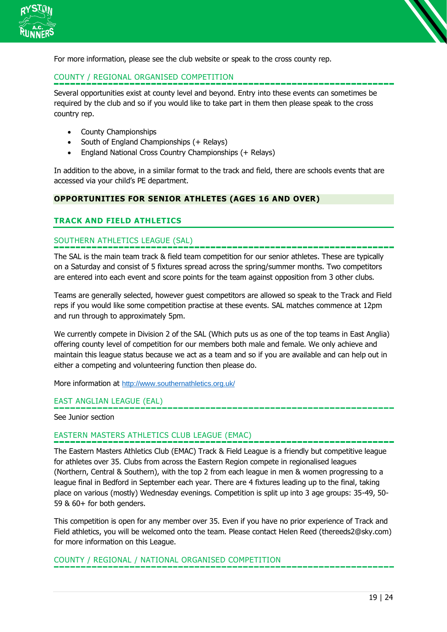



## COUNTY / REGIONAL ORGANISED COMPETITION

Several opportunities exist at county level and beyond. Entry into these events can sometimes be required by the club and so if you would like to take part in them then please speak to the cross country rep.

- County Championships
- South of England Championships (+ Relays)
- England National Cross Country Championships (+ Relays)

In addition to the above, in a similar format to the track and field, there are schools events that are accessed via your child's PE department.

#### **OPPORTUNITIES FOR SENIOR ATHLETES (AGES 16 AND OVER)**

#### **TRACK AND FIELD ATHLETICS**

#### SOUTHERN ATHLETICS LEAGUE (SAL)

The SAL is the main team track & field team competition for our senior athletes. These are typically on a Saturday and consist of 5 fixtures spread across the spring/summer months. Two competitors are entered into each event and score points for the team against opposition from 3 other clubs.

Teams are generally selected, however guest competitors are allowed so speak to the Track and Field reps if you would like some competition practise at these events. SAL matches commence at 12pm and run through to approximately 5pm.

We currently compete in Division 2 of the SAL (Which puts us as one of the top teams in East Anglia) offering county level of competition for our members both male and female. We only achieve and maintain this league status because we act as a team and so if you are available and can help out in either a competing and volunteering function then please do.

More information at <http://www.southernathletics.org.uk/>

#### EAST ANGLIAN LEAGUE (EAL)

See Junior section

#### EASTERN MASTERS ATHLETICS CLUB LEAGUE (EMAC)

The Eastern Masters Athletics Club (EMAC) Track & Field League is a friendly but competitive league for athletes over 35. Clubs from across the Eastern Region compete in regionalised leagues (Northern, Central & Southern), with the top 2 from each league in men & women progressing to a league final in Bedford in September each year. There are 4 fixtures leading up to the final, taking place on various (mostly) Wednesday evenings. Competition is split up into 3 age groups: 35-49, 50- 59 & 60+ for both genders.

This competition is open for any member over 35. Even if you have no prior experience of Track and Field athletics, you will be welcomed onto the team. Please contact Helen Reed (thereeds2@sky.com) for more information on this League.

COUNTY / REGIONAL / NATIONAL ORGANISED COMPETITION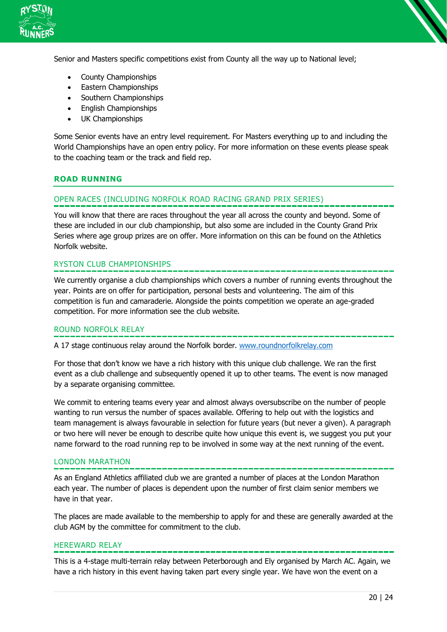

Senior and Masters specific competitions exist from County all the way up to National level;

- County Championships
- Eastern Championships
- Southern Championships
- English Championships
- UK Championships

Some Senior events have an entry level requirement. For Masters everything up to and including the World Championships have an open entry policy. For more information on these events please speak to the coaching team or the track and field rep.

#### **ROAD RUNNING**

#### OPEN RACES (INCLUDING NORFOLK ROAD RACING GRAND PRIX SERIES)

You will know that there are races throughout the year all across the county and beyond. Some of these are included in our club championship, but also some are included in the County Grand Prix Series where age group prizes are on offer. More information on this can be found on the Athletics Norfolk website.

## RYSTON CLUB CHAMPIONSHIPS

We currently organise a club championships which covers a number of running events throughout the year. Points are on offer for participation, personal bests and volunteering. The aim of this competition is fun and camaraderie. Alongside the points competition we operate an age-graded competition. For more information see the club website.

#### ROUND NORFOLK RELAY

A 17 stage continuous relay around the Norfolk border. [www.roundnorfolkrelay.com](http://www.roundnorfolkrelay.com/)

For those that don't know we have a rich history with this unique club challenge. We ran the first event as a club challenge and subsequently opened it up to other teams. The event is now managed by a separate organising committee.

We commit to entering teams every year and almost always oversubscribe on the number of people wanting to run versus the number of spaces available. Offering to help out with the logistics and team management is always favourable in selection for future years (but never a given). A paragraph or two here will never be enough to describe quite how unique this event is, we suggest you put your name forward to the road running rep to be involved in some way at the next running of the event.

#### LONDON MARATHON

As an England Athletics affiliated club we are granted a number of places at the London Marathon each year. The number of places is dependent upon the number of first claim senior members we have in that year.

The places are made available to the membership to apply for and these are generally awarded at the club AGM by the committee for commitment to the club.

#### HEREWARD RELAY

This is a 4-stage multi-terrain relay between Peterborough and Ely organised by March AC. Again, we have a rich history in this event having taken part every single year. We have won the event on a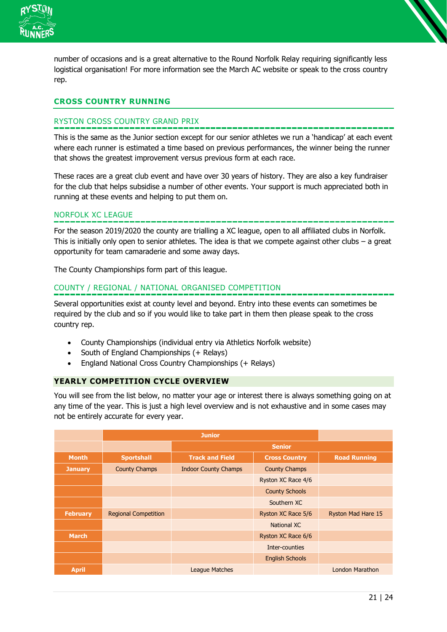

number of occasions and is a great alternative to the Round Norfolk Relay requiring significantly less logistical organisation! For more information see the March AC website or speak to the cross country rep.

## **CROSS COUNTRY RUNNING**

## RYSTON CROSS COUNTRY GRAND PRIX

This is the same as the Junior section except for our senior athletes we run a 'handicap' at each event where each runner is estimated a time based on previous performances, the winner being the runner that shows the greatest improvement versus previous form at each race.

These races are a great club event and have over 30 years of history. They are also a key fundraiser for the club that helps subsidise a number of other events. Your support is much appreciated both in running at these events and helping to put them on.

## NORFOLK XC LEAGUE

For the season 2019/2020 the county are trialling a XC league, open to all affiliated clubs in Norfolk. This is initially only open to senior athletes. The idea is that we compete against other clubs – a great opportunity for team camaraderie and some away days.

The County Championships form part of this league.

## COUNTY / REGIONAL / NATIONAL ORGANISED COMPETITION

Several opportunities exist at county level and beyond. Entry into these events can sometimes be required by the club and so if you would like to take part in them then please speak to the cross country rep.

- County Championships (individual entry via Athletics Norfolk website)
- South of England Championships (+ Relays)
- England National Cross Country Championships (+ Relays)

#### **YEARLY COMPETITION CYCLE OVERVIEW**

You will see from the list below, no matter your age or interest there is always something going on at any time of the year. This is just a high level overview and is not exhaustive and in some cases may not be entirely accurate for every year.

|                 | <b>Junior</b>               |                             |                        |                        |
|-----------------|-----------------------------|-----------------------------|------------------------|------------------------|
|                 |                             | <b>Senior</b>               |                        |                        |
| <b>Month</b>    | <b>Sportshall</b>           | <b>Track and Field</b>      | <b>Cross Country</b>   | <b>Road Running</b>    |
| <b>January</b>  | <b>County Champs</b>        | <b>Indoor County Champs</b> | <b>County Champs</b>   |                        |
|                 |                             |                             | Ryston XC Race 4/6     |                        |
|                 |                             |                             | <b>County Schools</b>  |                        |
|                 |                             |                             | Southern XC            |                        |
| <b>February</b> | <b>Regional Competition</b> |                             | Ryston XC Race 5/6     | Ryston Mad Hare 15     |
|                 |                             |                             | National XC            |                        |
| <b>March</b>    |                             |                             | Ryston XC Race 6/6     |                        |
|                 |                             |                             | Inter-counties         |                        |
|                 |                             |                             | <b>English Schools</b> |                        |
| <b>April</b>    |                             | League Matches              |                        | <b>London Marathon</b> |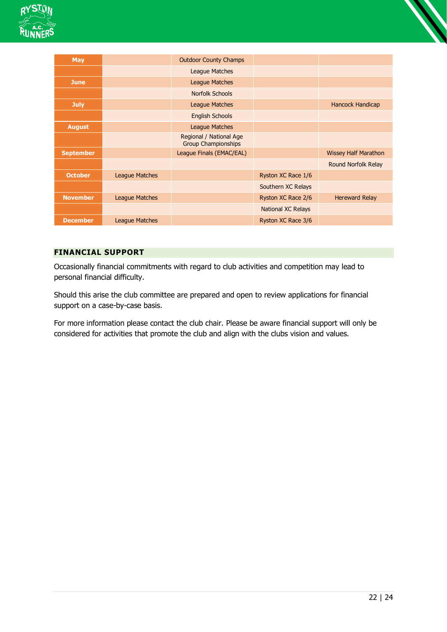



| <b>May</b>       |                | <b>Outdoor County Champs</b>                          |                           |                             |
|------------------|----------------|-------------------------------------------------------|---------------------------|-----------------------------|
|                  |                | <b>League Matches</b>                                 |                           |                             |
| <b>June</b>      |                | League Matches                                        |                           |                             |
|                  |                | Norfolk Schools                                       |                           |                             |
| <b>July</b>      |                | <b>League Matches</b>                                 |                           | Hancock Handicap            |
|                  |                | <b>English Schools</b>                                |                           |                             |
| <b>August</b>    |                | <b>League Matches</b>                                 |                           |                             |
|                  |                | Regional / National Age<br><b>Group Championships</b> |                           |                             |
| <b>September</b> |                | League Finals (EMAC/EAL)                              |                           | <b>Wissey Half Marathon</b> |
|                  |                |                                                       |                           | <b>Round Norfolk Relay</b>  |
| <b>October</b>   | League Matches |                                                       | Ryston XC Race 1/6        |                             |
|                  |                |                                                       | Southern XC Relays        |                             |
| <b>November</b>  | League Matches |                                                       | Ryston XC Race 2/6        | <b>Hereward Relay</b>       |
|                  |                |                                                       | <b>National XC Relays</b> |                             |
| <b>December</b>  | League Matches |                                                       | Ryston XC Race 3/6        |                             |

## **FINANCIAL SUPPORT**

Occasionally financial commitments with regard to club activities and competition may lead to personal financial difficulty.

Should this arise the club committee are prepared and open to review applications for financial support on a case-by-case basis.

For more information please contact the club chair. Please be aware financial support will only be considered for activities that promote the club and align with the clubs vision and values.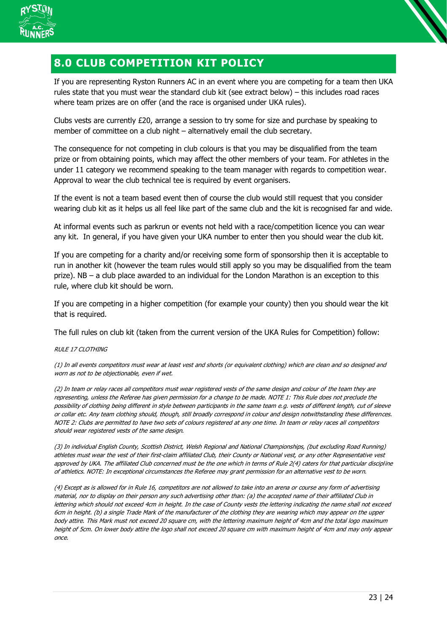

## <span id="page-22-0"></span>**8.0 CLUB COMPETITION KIT POLICY**

If you are representing Ryston Runners AC in an event where you are competing for a team then UKA rules state that you must wear the standard club kit (see extract below) – this includes road races where team prizes are on offer (and the race is organised under UKA rules).

Clubs vests are currently £20, arrange a session to try some for size and purchase by speaking to member of committee on a club night – alternatively email the club secretary.

The consequence for not competing in club colours is that you may be disqualified from the team prize or from obtaining points, which may affect the other members of your team. For athletes in the under 11 category we recommend speaking to the team manager with regards to competition wear. Approval to wear the club technical tee is required by event organisers.

If the event is not a team based event then of course the club would still request that you consider wearing club kit as it helps us all feel like part of the same club and the kit is recognised far and wide.

At informal events such as parkrun or events not held with a race/competition licence you can wear any kit. In general, if you have given your UKA number to enter then you should wear the club kit.

If you are competing for a charity and/or receiving some form of sponsorship then it is acceptable to run in another kit (however the team rules would still apply so you may be disqualified from the team prize). NB – a club place awarded to an individual for the London Marathon is an exception to this rule, where club kit should be worn.

If you are competing in a higher competition (for example your county) then you should wear the kit that is required.

The full rules on club kit (taken from the current version of the UKA Rules for Competition) follow:

RULE 17 CLOTHING

(1) In all events competitors must wear at least vest and shorts (or equivalent clothing) which are clean and so designed and worn as not to be objectionable, even if wet.

(2) In team or relay races all competitors must wear registered vests of the same design and colour of the team they are representing, unless the Referee has given permission for a change to be made. NOTE 1: This Rule does not preclude the possibility of clothing being different in style between participants in the same team e.g. vests of different length, cut of sleeve or collar etc. Any team clothing should, though, still broadly correspond in colour and design notwithstanding these differences. NOTE 2: Clubs are permitted to have two sets of colours registered at any one time. In team or relay races all competitors should wear registered vests of the same design.

(3) In individual English County, Scottish District, Welsh Regional and National Championships, (but excluding Road Running) athletes must wear the vest of their first-claim affiliated Club, their County or National vest, or any other Representative vest approved by UKA. The affiliated Club concerned must be the one which in terms of Rule 2(4) caters for that particular discipline of athletics. NOTE: In exceptional circumstances the Referee may grant permission for an alternative vest to be worn.

(4) Except as is allowed for in Rule 16, competitors are not allowed to take into an arena or course any form of advertising material, nor to display on their person any such advertising other than: (a) the accepted name of their affiliated Club in lettering which should not exceed 4cm in height. In the case of County vests the lettering indicating the name shall not exceed 6cm in height. (b) a single Trade Mark of the manufacturer of the clothing they are wearing which may appear on the upper body attire. This Mark must not exceed 20 square cm, with the lettering maximum height of 4cm and the total logo maximum height of 5cm. On lower body attire the logo shall not exceed 20 square cm with maximum height of 4cm and may only appear once.